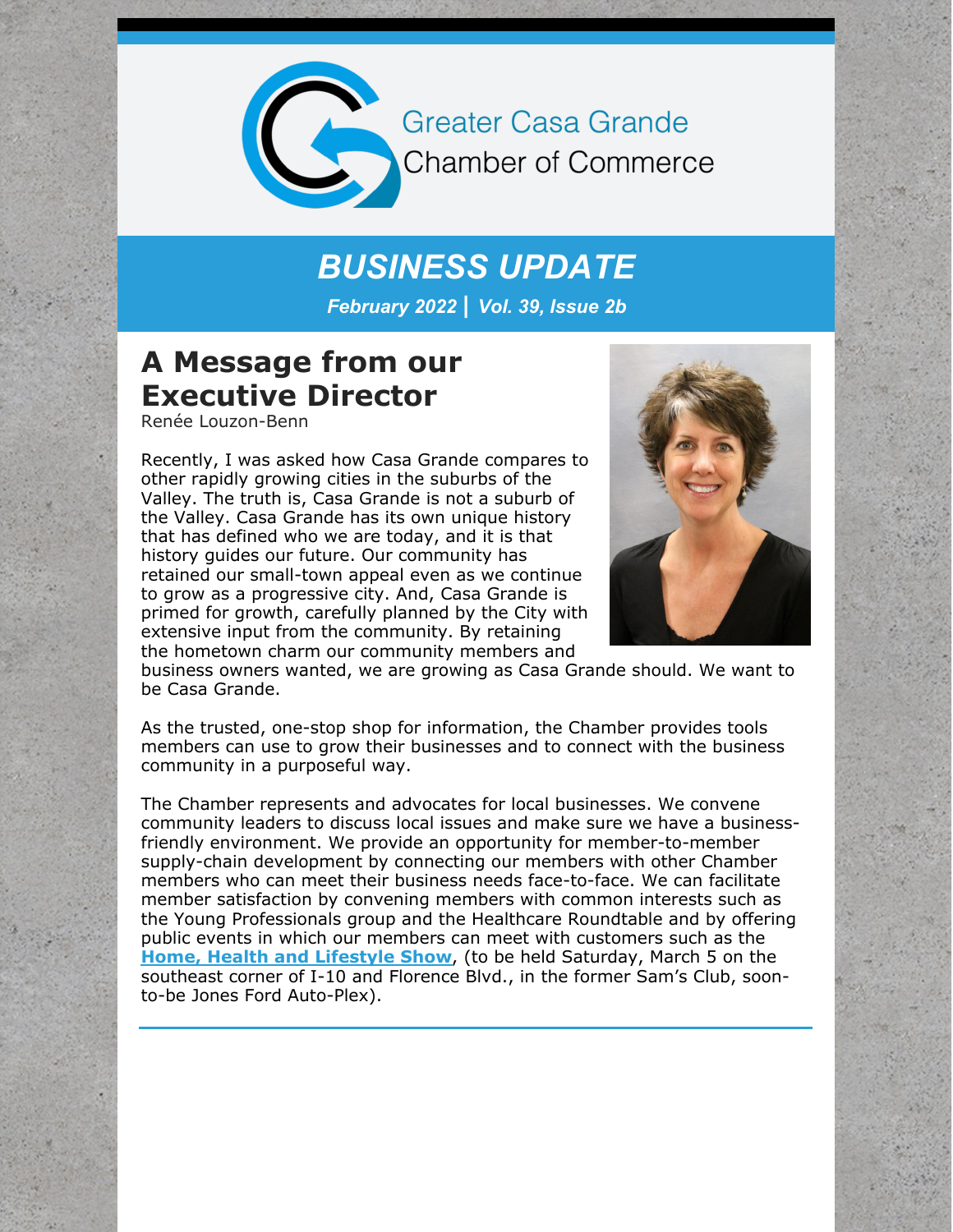

**Greater Casa Grande Chamber of Commerce** 

### *BUSINESS UPDATE*

*February 2022 | Vol. 39, Issue 2b*

#### **A Message from our Executive Director**

Renée Louzon-Benn

Recently, I was asked how Casa Grande compares to other rapidly growing cities in the suburbs of the Valley. The truth is, Casa Grande is not a suburb of the Valley. Casa Grande has its own unique history that has defined who we are today, and it is that history guides our future. Our community has retained our small-town appeal even as we continue to grow as a progressive city. And, Casa Grande is primed for growth, carefully planned by the City with extensive input from the community. By retaining the hometown charm our community members and



business owners wanted, we are growing as Casa Grande should. We want to be Casa Grande.

As the trusted, one-stop shop for information, the Chamber provides tools members can use to grow their businesses and to connect with the business community in a purposeful way.

The Chamber represents and advocates for local businesses. We convene community leaders to discuss local issues and make sure we have a businessfriendly environment. We provide an opportunity for member-to-member supply-chain development by connecting our members with other Chamber members who can meet their business needs face-to-face. We can facilitate member satisfaction by convening members with common interests such as the Young Professionals group and the Healthcare Roundtable and by offering public events in which our members can meet with customers such as the **Home, Health and [Lifestyle](https://cca.casagrandechamber.org/EvtListing.aspx?dbid2=AZCAGR&evtid=26781&class=E) Show**, (to be held Saturday, March 5 on the southeast corner of I-10 and Florence Blvd., in the former Sam's Club, soonto-be Jones Ford Auto-Plex).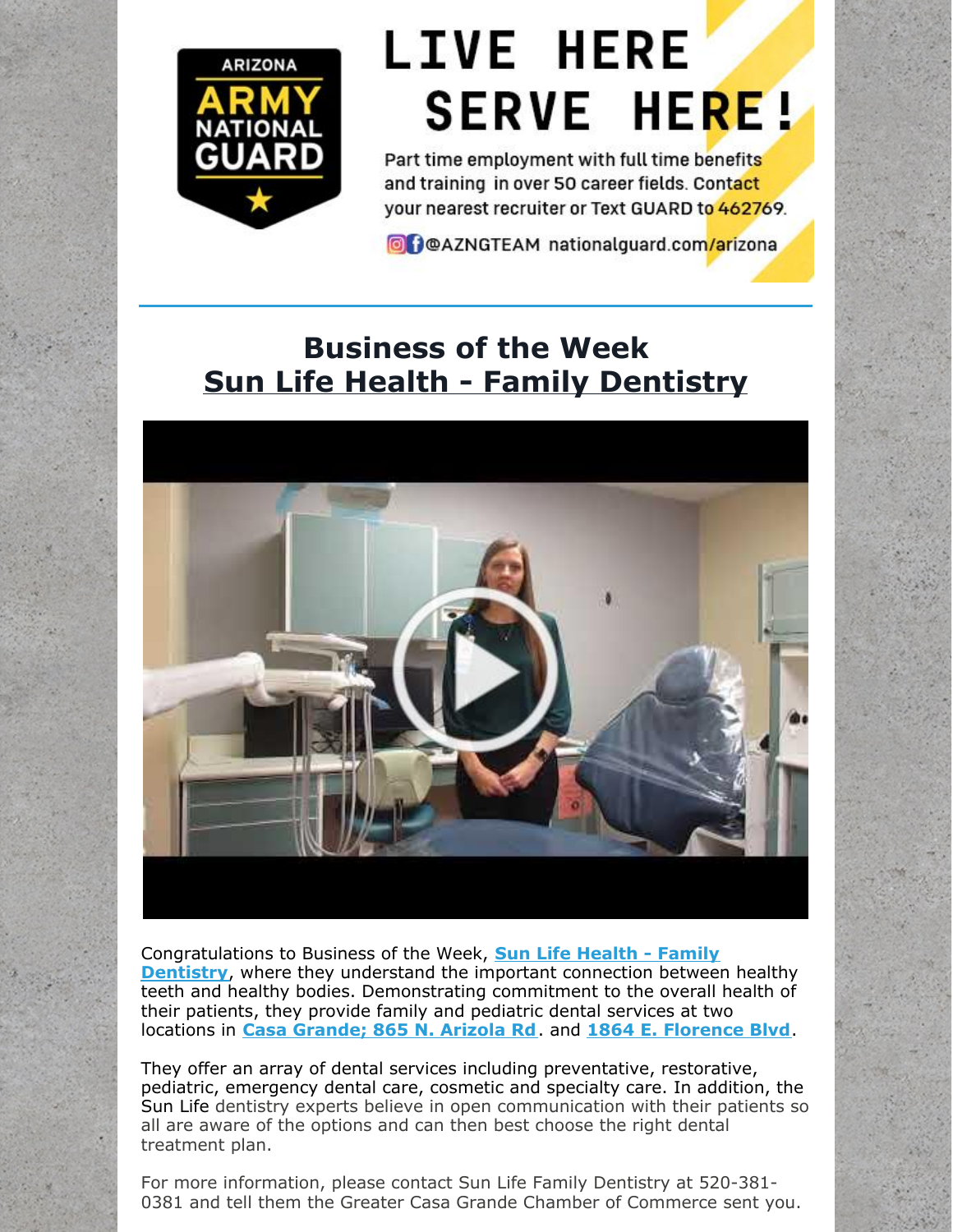

# **LIVE HERE SERVE HERE!**

Part time employment with full time benefits and training in over 50 career fields. Contact your nearest recruiter or Text GUARD to 462769.

**O** POAZNGTEAM nationalguard.com/arizona

### **Business of the Week Sun Life Health - Family [Dentistry](https://www.sunlifehealth.org/location/casa-grande-family-dentistry/)**



[Congratulations](https://www.sunlifehealth.org/our-services/health/dentistry/) to Business of the Week, **Sun Life Health - Family Dentistry**, where they understand the important connection between healthy teeth and healthy bodies. Demonstrating commitment to the overall health of their patients, they provide family and pediatric dental services at two locations in **Casa [Grande;](https://www.google.com/maps/search/Casa+Grande;+865+N.+Arizola+Rd?entry=gmail&source=g) 865 N. Arizola Rd**. and **1864 E. [Florence](https://www.google.com/maps/search/1864+E.+Florence+Blvd?entry=gmail&source=g) Blvd**.

They offer an array of dental services including preventative, restorative, pediatric, emergency dental care, cosmetic and specialty care. In addition, the Sun Life dentistry experts believe in open communication with their patients so all are aware of the options and can then best choose the right dental treatment plan.

For more information, please contact Sun Life Family Dentistry at 520-381- 0381 and tell them the Greater Casa Grande Chamber of Commerce sent you.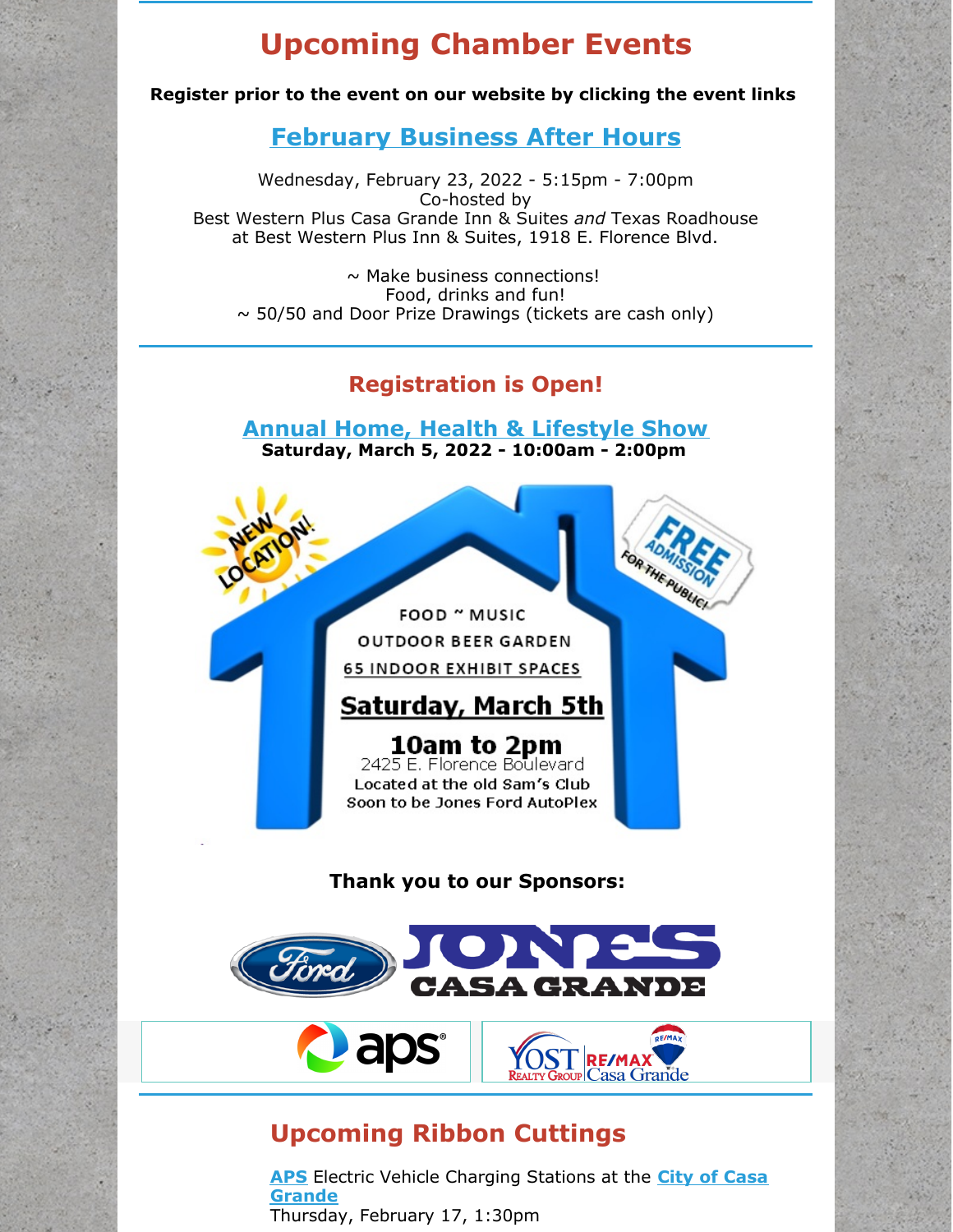#### **Upcoming Chamber Events**

**Register prior to the event on our website by clicking the event links**

#### **[February](https://cca.casagrandechamber.org/EvtListing.aspx?dbid2=AZCAGR&evtid=29543&class=E) Business After Hours**

Wednesday, February 23, 2022 - 5:15pm - 7:00pm Co-hosted by Best Western Plus Casa Grande Inn & Suites *and* Texas Roadhouse at Best Western Plus Inn & Suites, 1918 E. Florence Blvd.

 $\sim$  Make business connections! Food, drinks and fun!  $\sim$  50/50 and Door Prize Drawings (tickets are cash only)

#### **Registration is Open!**

**Annual Home, Health & [Lifestyle](https://cca.casagrandechamber.org/EvtListing.aspx?dbid2=AZCAGR&evtid=26781&class=E) Show Saturday, March 5, 2022 - 10:00am - 2:00pm**



#### **Upcoming Ribbon Cuttings**

**aps** 

**[APS](http://www.aps.com)** Electric Vehicle [Charging](http://www.casagrandeaz.gov) Stations at the **City of Casa Grande** Thursday, February 17, 1:30pm

<u>asa Grande</u>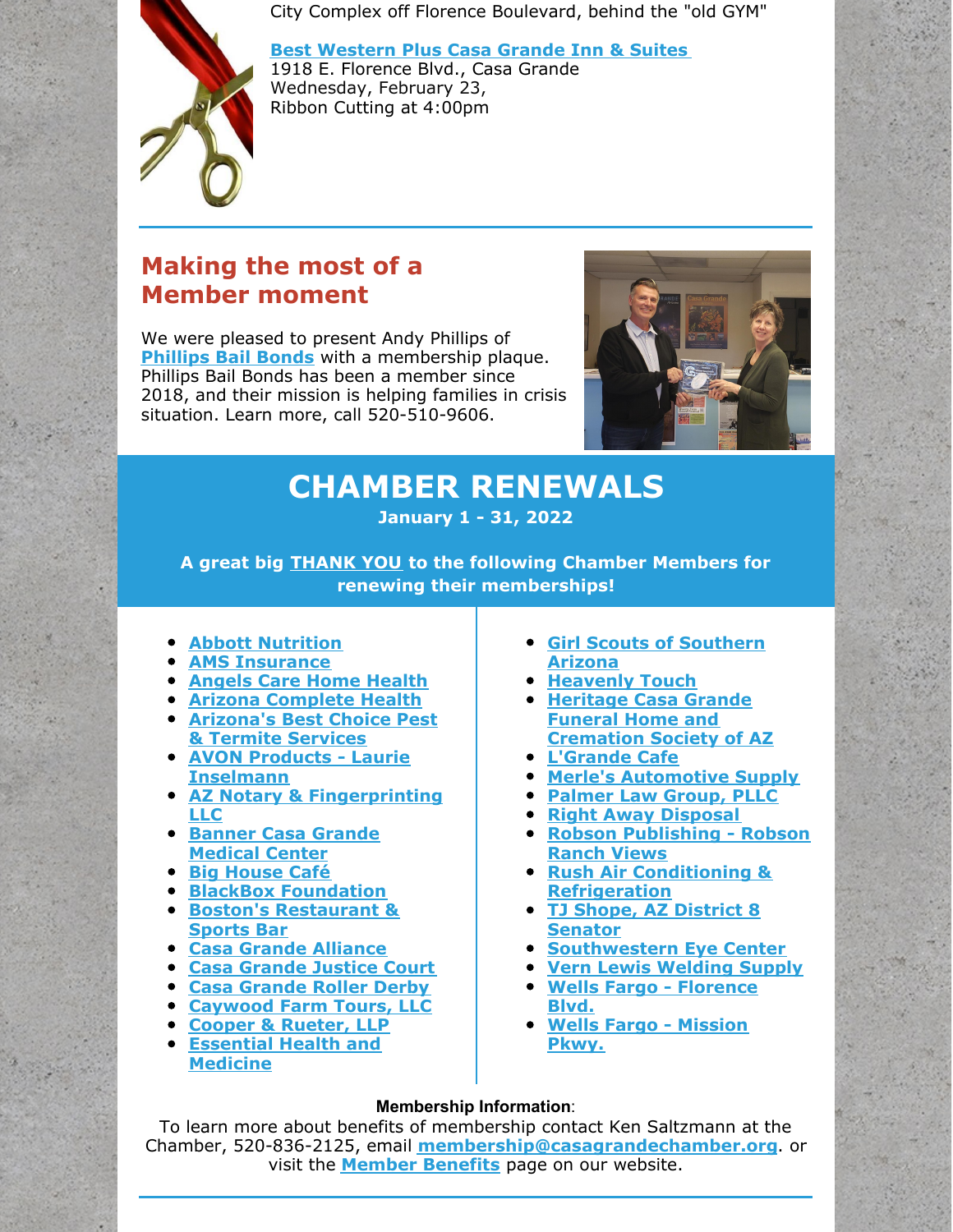City Complex off Florence Boulevard, behind the "old GYM"

**Best [Western](https://www.bestwestern.com/en_US/book/hotel-rooms.03173.html?iata=00171880&ssob=BLBWI0004G&cid=BLBWI0004G:google:gmb:03173) Plus Casa Grande Inn & Suites**

1918 E. Florence Blvd., Casa Grande Wednesday, February 23, Ribbon Cutting at 4:00pm

#### **Making the most of a Member moment**

We were pleased to present Andy Phillips of **[Phillips](http://www.phillipsbailbonds.com) Bail Bonds** with a membership plaque. Phillips Bail Bonds has been a member since 2018, and their mission is helping families in crisis situation. Learn more, call 520-510-9606.



# **CHAMBER RENEWALS**

**January 1 - 31, 2022**

**A great big THANK YOU to the following Chamber Members for renewing their memberships!**

- **Abbott [Nutrition](http://www.abbott.com)**
- **AMS [Insurance](http://www.amsins.com)**
- **[Angels](http://www.angelscarehealth.com) Care Home Health**
- **Arizona [Complete](http://www.azcompletehealth.com) Health**
- **[Arizona's](http://www.azbestpest.com) Best Choice Pest & Termite Services**
- **AVON Products - Laurie [Inselmann](http://www.youravon.com/beautybylpi)**
- **AZ Notary & [Fingerprinting](http://www.aznotaryandfingerprinting.com) LLC**
- **Banner Casa Grande [Medical](http://www.bannerhealth.com/casagrande) Center**
- **Big [House](http://www.facebook.com/BigHouseCafe) Café**
- **BlackBox [Foundation](http://www.blackboxcg.org)**
- **Boston's [Restaurant](http://www.bostons.com) & Sports Bar**
- **Casa Grande [Alliance](http://www.casagrandealliance.org)**
- **Casa [Grande](http://www.azdps.gov/node/20958) Justice Court**
- **Casa [Grande](http://facebook.com/CGRollerDerby) Roller Derby**
- **[Caywood](http://www.caywoodfarms.com) Farm Tours, LLC**
- **Cooper & [Rueter,](http://www.centralazlaw.com) LLP**
- **[Essential](https://donnelly-chiropractic-dba-essential-health-and-medicine.business.site/) Health and Medicine**
- **Girl Scouts of [Southern](http://www.girlscoutssoaz.org) Arizona**
- **[Heavenly](http://www.heavenlytouchaz.com) Touch**
- **Heritage Casa Grande Funeral Home and [Cremation](http://www.heritagefuneralchapels.com) Society of AZ**
- **[L'Grande](http://www.lgrande.cafe) Cafe**
- **Merle's [Automotive](http://www.merlesauto.com) Supply**
- **[Palmer](http://www.palmerlawaz.net) Law Group, PLLC**
- **Right Away [Disposal](http://www.rightawaydisposal.com)**
- **Robson [Publishing](http://www.robsonranchviews.com) - Robson Ranch Views**
- **Rush Air Conditioning & [Refrigeration](http://www.rushairconditioning.com)**
- **TJ Shope, AZ District 8 [Senator](http://www.tjshope.com)**
- **[Southwestern](http://www.sweye.com) Eye Center**
- **Vern Lewis [Welding](http://www.vernlewis.com) Supply**
- **Wells Fargo - [Florence](http://www.wellsfargo.com) Blvd.**
- **Wells Fargo - [Mission](http://www.wellsfargo.com) Pkwy.**

#### **Membership Information**:

To learn more about benefits of membership contact Ken Saltzmann at the Chamber, 520-836-2125, email **[membership@casagrandechamber.org](mailto:membership@casagrandechamber.org)**. or visit the **Member [Benefits](https://casagrandechamber.org/member-benefits/)** page on our website.